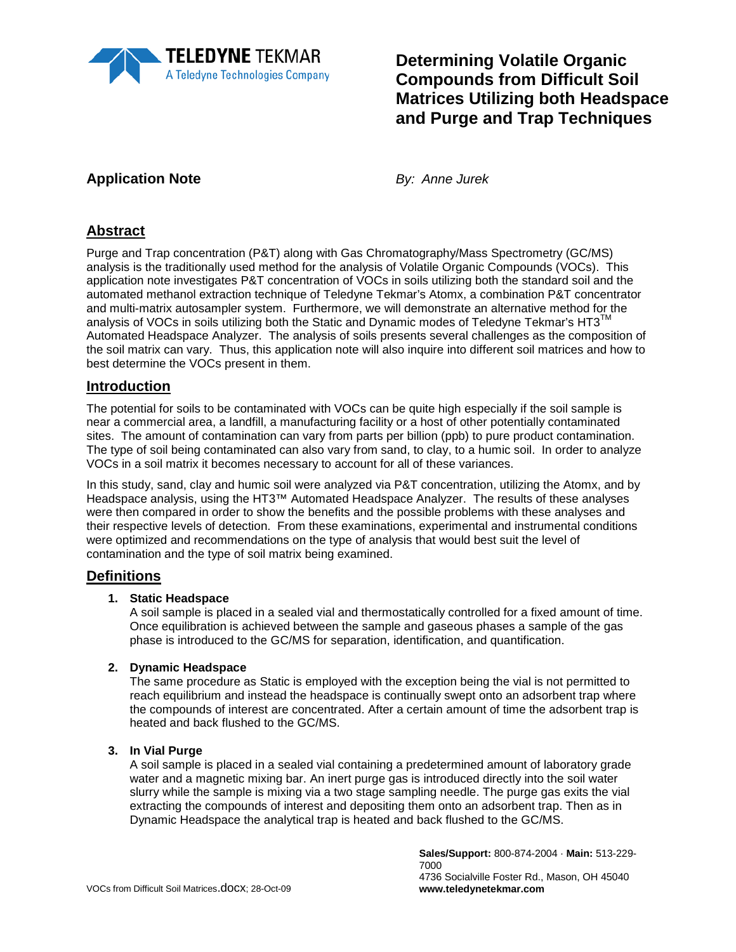

# **Determining Volatile Organic Compounds from Difficult Soil Matrices Utilizing both Headspace and Purge and Trap Techniques**

## **Application Note** *By: Anne Jurek*

## **Abstract**

Purge and Trap concentration (P&T) along with Gas Chromatography/Mass Spectrometry (GC/MS) analysis is the traditionally used method for the analysis of Volatile Organic Compounds (VOCs). This application note investigates P&T concentration of VOCs in soils utilizing both the standard soil and the automated methanol extraction technique of Teledyne Tekmar's Atomx, a combination P&T concentrator and multi-matrix autosampler system. Furthermore, we will demonstrate an alternative method for the analysis of VOCs in soils utilizing both the Static and Dynamic modes of Teledyne Tekmar's  $HT3^{\text{IM}}$ Automated Headspace Analyzer. The analysis of soils presents several challenges as the composition of the soil matrix can vary. Thus, this application note will also inquire into different soil matrices and how to best determine the VOCs present in them.

### **Introduction**

The potential for soils to be contaminated with VOCs can be quite high especially if the soil sample is near a commercial area, a landfill, a manufacturing facility or a host of other potentially contaminated sites. The amount of contamination can vary from parts per billion (ppb) to pure product contamination. The type of soil being contaminated can also vary from sand, to clay, to a humic soil. In order to analyze VOCs in a soil matrix it becomes necessary to account for all of these variances.

In this study, sand, clay and humic soil were analyzed via P&T concentration, utilizing the Atomx, and by Headspace analysis, using the HT3™ Automated Headspace Analyzer. The results of these analyses were then compared in order to show the benefits and the possible problems with these analyses and their respective levels of detection. From these examinations, experimental and instrumental conditions were optimized and recommendations on the type of analysis that would best suit the level of contamination and the type of soil matrix being examined.

### **Definitions**

#### **1. Static Headspace**

A soil sample is placed in a sealed vial and thermostatically controlled for a fixed amount of time. Once equilibration is achieved between the sample and gaseous phases a sample of the gas phase is introduced to the GC/MS for separation, identification, and quantification.

#### **2. Dynamic Headspace**

The same procedure as Static is employed with the exception being the vial is not permitted to reach equilibrium and instead the headspace is continually swept onto an adsorbent trap where the compounds of interest are concentrated. After a certain amount of time the adsorbent trap is heated and back flushed to the GC/MS.

#### **3. In Vial Purge**

A soil sample is placed in a sealed vial containing a predetermined amount of laboratory grade water and a magnetic mixing bar. An inert purge gas is introduced directly into the soil water slurry while the sample is mixing via a two stage sampling needle. The purge gas exits the vial extracting the compounds of interest and depositing them onto an adsorbent trap. Then as in Dynamic Headspace the analytical trap is heated and back flushed to the GC/MS.

> **Sales/Support:** 800-874-2004 · **Main:** 513-229- 7000 4736 Socialville Foster Rd., Mason, OH 45040 **www.teledynetekmar.com**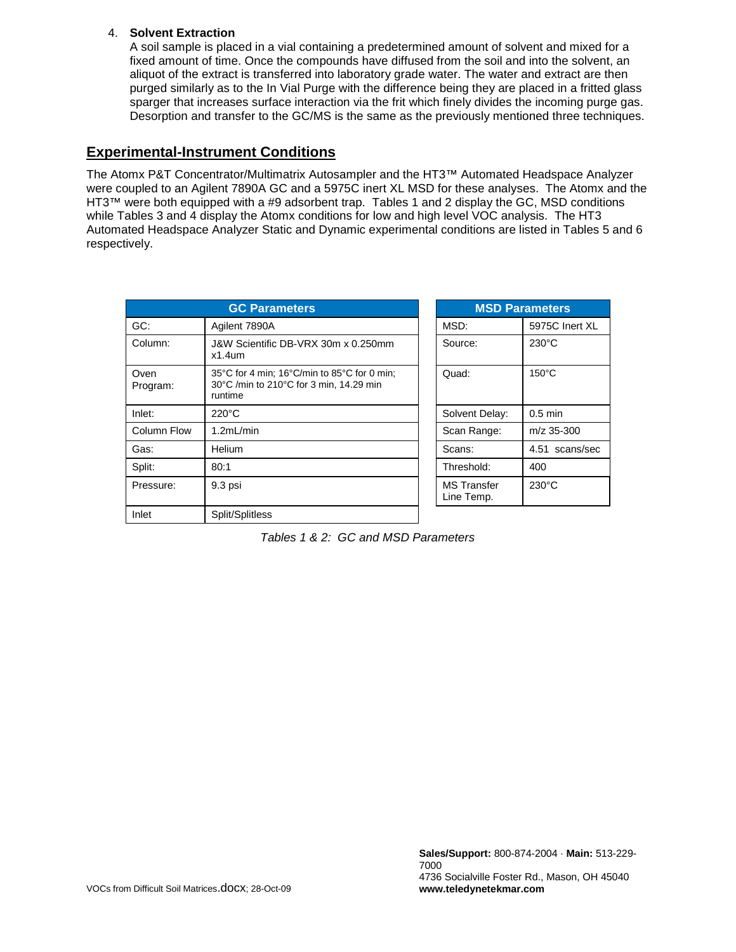#### 4. **Solvent Extraction**

A soil sample is placed in a vial containing a predetermined amount of solvent and mixed for a fixed amount of time. Once the compounds have diffused from the soil and into the solvent, an aliquot of the extract is transferred into laboratory grade water. The water and extract are then purged similarly as to the In Vial Purge with the difference being they are placed in a fritted glass sparger that increases surface interaction via the frit which finely divides the incoming purge gas. Desorption and transfer to the GC/MS is the same as the previously mentioned three techniques.

### **Experimental-Instrument Conditions**

The Atomx P&T Concentrator/Multimatrix Autosampler and the HT3™ Automated Headspace Analyzer were coupled to an Agilent 7890A GC and a 5975C inert XL MSD for these analyses. The Atomx and the HT3™ were both equipped with a #9 adsorbent trap. Tables 1 and 2 display the GC, MSD conditions while Tables 3 and 4 display the Atomx conditions for low and high level VOC analysis. The HT3 Automated Headspace Analyzer Static and Dynamic experimental conditions are listed in Tables 5 and 6 respectively.

| <b>GC Parameters</b> |                                                                                                   |  | <b>MSD Parameters</b>            |                 |
|----------------------|---------------------------------------------------------------------------------------------------|--|----------------------------------|-----------------|
| GC:                  | Agilent 7890A                                                                                     |  | MSD:                             | 5975C Inert XL  |
| Column:              | J&W Scientific DB-VRX 30m x 0.250mm<br>$x1.4$ um                                                  |  | Source:                          | $230^{\circ}$ C |
| Oven<br>Program:     | 35°C for 4 min; 16°C/min to 85°C for 0 min;<br>30°C /min to 210°C for 3 min, 14.29 min<br>runtime |  | Quad:                            | $150^{\circ}$ C |
| Inlet:               | $220^{\circ}$ C                                                                                   |  | Solvent Delay:                   | $0.5$ min       |
| Column Flow          | 1.2mL/min                                                                                         |  | Scan Range:                      | $m/z$ 35-300    |
| Gas:                 | Helium                                                                                            |  | Scans:                           | 4.51 scans/sec  |
| Split:               | 80:1                                                                                              |  | Threshold:                       | 400             |
| Pressure:            | 9.3 psi                                                                                           |  | <b>MS</b> Transfer<br>Line Temp. | $230^{\circ}$ C |
| Inlet                | Split/Splitless                                                                                   |  |                                  |                 |

|  | Tables 1 & 2: GC and MSD Parameters |  |
|--|-------------------------------------|--|
|--|-------------------------------------|--|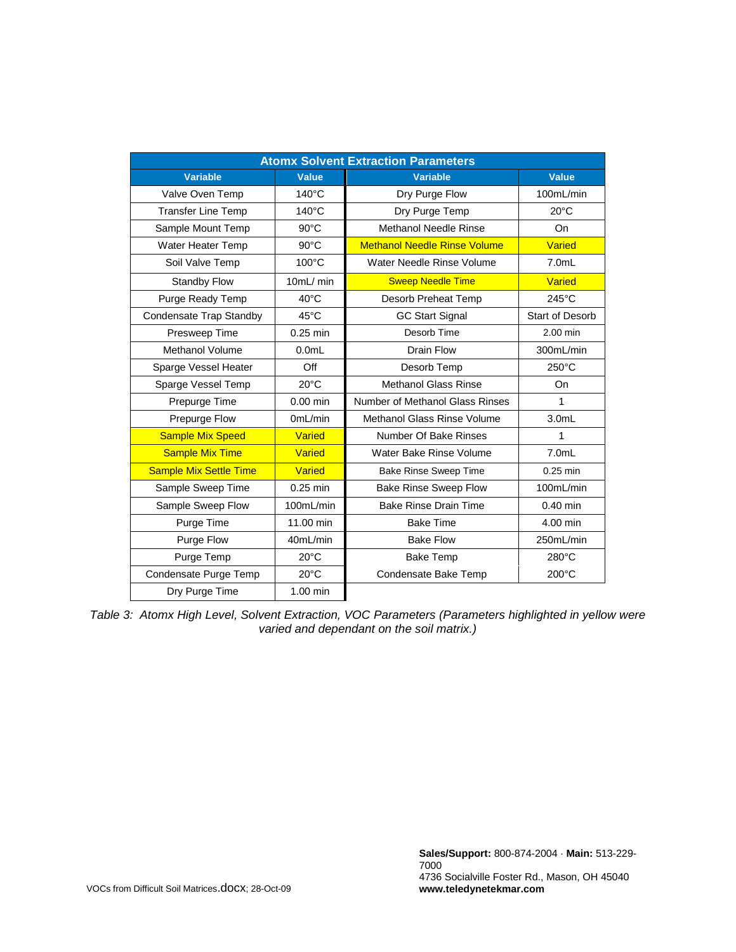| <b>Atomx Solvent Extraction Parameters</b> |                 |                                     |                        |  |
|--------------------------------------------|-----------------|-------------------------------------|------------------------|--|
| <b>Variable</b>                            | <b>Value</b>    | <b>Variable</b>                     | <b>Value</b>           |  |
| Valve Oven Temp                            | $140^{\circ}$ C | Dry Purge Flow                      | 100mL/min              |  |
| <b>Transfer Line Temp</b>                  | $140^{\circ}$ C | Dry Purge Temp                      | $20^{\circ}$ C         |  |
| Sample Mount Temp                          | $90^{\circ}$ C  | <b>Methanol Needle Rinse</b>        | On                     |  |
| Water Heater Temp                          | $90^{\circ}$ C  | <b>Methanol Needle Rinse Volume</b> | <b>Varied</b>          |  |
| Soil Valve Temp                            | $100^{\circ}$ C | Water Needle Rinse Volume           | $7.0m$ L               |  |
| <b>Standby Flow</b>                        | 10mL/ min       | <b>Sweep Needle Time</b>            | <b>Varied</b>          |  |
| Purge Ready Temp                           | $40^{\circ}$ C  | Desorb Preheat Temp                 | $245^{\circ}$ C        |  |
| Condensate Trap Standby                    | $45^{\circ}$ C  | <b>GC Start Signal</b>              | <b>Start of Desorb</b> |  |
| Presweep Time                              | $0.25$ min      | Desorb Time                         | 2.00 min               |  |
| Methanol Volume                            | $0.0m$ L        | Drain Flow                          | 300mL/min              |  |
| Sparge Vessel Heater                       | Off             | Desorb Temp                         | $250^{\circ}$ C        |  |
| Sparge Vessel Temp                         | $20^{\circ}$ C  | <b>Methanol Glass Rinse</b>         | On                     |  |
| Prepurge Time                              | $0.00$ min      | Number of Methanol Glass Rinses     | 1                      |  |
| Prepurge Flow                              | 0mL/min         | <b>Methanol Glass Rinse Volume</b>  | 3.0 <sub>m</sub>       |  |
| <b>Sample Mix Speed</b>                    | <b>Varied</b>   | Number Of Bake Rinses               | 1                      |  |
| <b>Sample Mix Time</b>                     | Varied          | Water Bake Rinse Volume             | $7.0m$ L               |  |
| <b>Sample Mix Settle Time</b>              | Varied          | <b>Bake Rinse Sweep Time</b>        | $0.25$ min             |  |
| Sample Sweep Time                          | $0.25$ min      | <b>Bake Rinse Sweep Flow</b>        | 100mL/min              |  |
| Sample Sweep Flow                          | 100mL/min       | <b>Bake Rinse Drain Time</b>        | $0.40$ min             |  |
| Purge Time                                 | 11.00 min       | <b>Bake Time</b>                    | 4.00 min               |  |
| Purge Flow                                 | 40mL/min        | <b>Bake Flow</b>                    | 250mL/min              |  |
| Purge Temp                                 | $20^{\circ}$ C  | <b>Bake Temp</b>                    | 280°C                  |  |
| Condensate Purge Temp                      | $20^{\circ}$ C  | Condensate Bake Temp                | 200°C                  |  |
| Dry Purge Time                             | $1.00$ min      |                                     |                        |  |

*Table 3: Atomx High Level, Solvent Extraction, VOC Parameters (Parameters highlighted in yellow were varied and dependant on the soil matrix.)*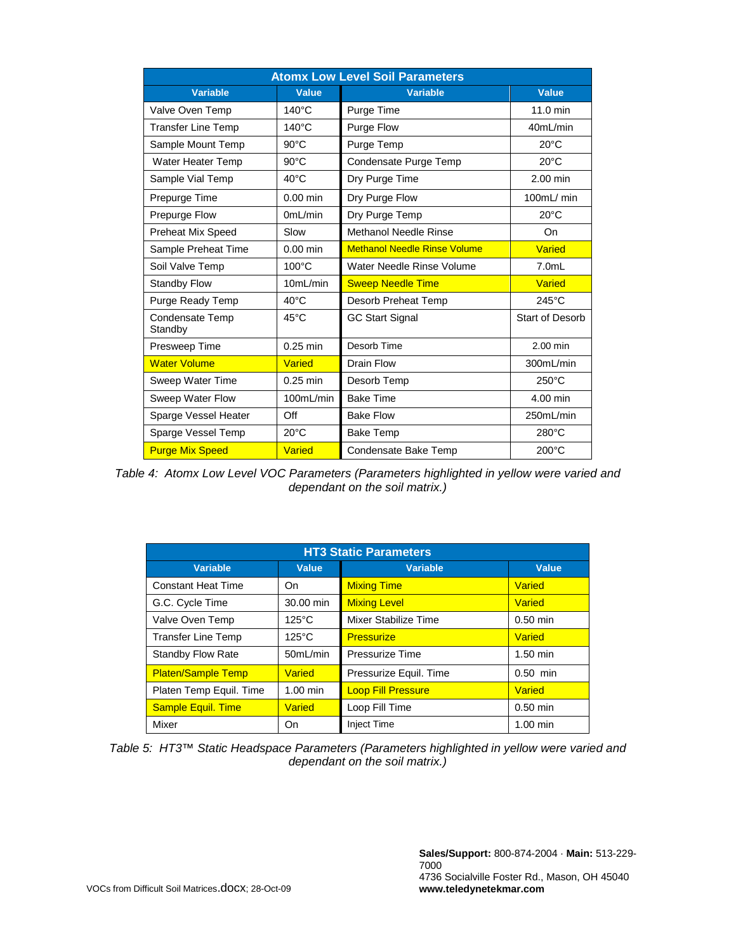| <b>Atomx Low Level Soil Parameters</b> |                 |                                     |                 |  |  |
|----------------------------------------|-----------------|-------------------------------------|-----------------|--|--|
| <b>Variable</b>                        | <b>Value</b>    | <b>Variable</b>                     | Value           |  |  |
| Valve Oven Temp                        | $140^{\circ}$ C | Purge Time                          | 11.0 min        |  |  |
| <b>Transfer Line Temp</b>              | $140^{\circ}$ C | Purge Flow                          | 40mL/min        |  |  |
| Sample Mount Temp                      | $90^{\circ}$ C  | Purge Temp                          | $20^{\circ}$ C  |  |  |
| Water Heater Temp                      | $90^{\circ}$ C  | Condensate Purge Temp               | $20^{\circ}$ C  |  |  |
| Sample Vial Temp                       | $40^{\circ}$ C  | Dry Purge Time                      | $2.00$ min      |  |  |
| Prepurge Time                          | $0.00$ min      | Dry Purge Flow                      | 100mL/min       |  |  |
| Prepurge Flow                          | OmL/min         | Dry Purge Temp                      | $20^{\circ}$ C  |  |  |
| Preheat Mix Speed                      | Slow            | Methanol Needle Rinse               | On              |  |  |
| Sample Preheat Time                    | $0.00$ min      | <b>Methanol Needle Rinse Volume</b> | <b>Varied</b>   |  |  |
| Soil Valve Temp                        | $100^{\circ}$ C | Water Needle Rinse Volume           | $7.0m$ L        |  |  |
| <b>Standby Flow</b>                    | 10mL/min        | <b>Sweep Needle Time</b>            | <b>Varied</b>   |  |  |
| Purge Ready Temp                       | $40^{\circ}$ C  | Desorb Preheat Temp                 | $245^{\circ}$ C |  |  |
| <b>Condensate Temp</b><br>Standby      | $45^{\circ}$ C  | <b>GC Start Signal</b>              | Start of Desorb |  |  |
| Presweep Time                          | $0.25$ min      | Desorb Time                         | 2.00 min        |  |  |
| <b>Water Volume</b>                    | Varied          | Drain Flow                          | 300mL/min       |  |  |
| Sweep Water Time                       | $0.25$ min      | Desorb Temp                         | $250^{\circ}$ C |  |  |
| Sweep Water Flow                       | 100mL/min       | <b>Bake Time</b>                    | 4.00 min        |  |  |
| Sparge Vessel Heater                   | Off             | <b>Bake Flow</b>                    | 250mL/min       |  |  |
| Sparge Vessel Temp                     | $20^{\circ}$ C  | <b>Bake Temp</b>                    | $280^{\circ}$ C |  |  |
| <b>Purge Mix Speed</b>                 | Varied          | Condensate Bake Temp                | $200^{\circ}$ C |  |  |

*Table 4: Atomx Low Level VOC Parameters (Parameters highlighted in yellow were varied and dependant on the soil matrix.)*

| <b>HT3 Static Parameters</b> |                 |                           |               |  |
|------------------------------|-----------------|---------------------------|---------------|--|
| <b>Variable</b>              | <b>Value</b>    | <b>Variable</b>           | <b>Value</b>  |  |
| <b>Constant Heat Time</b>    | On              | <b>Mixing Time</b>        | <b>Varied</b> |  |
| G.C. Cycle Time              | 30.00 min       | <b>Mixing Level</b>       | Varied        |  |
| Valve Oven Temp              | $125^{\circ}$ C | Mixer Stabilize Time      | $0.50$ min    |  |
| <b>Transfer Line Temp</b>    | $125^{\circ}$ C | <b>Pressurize</b>         | <b>Varied</b> |  |
| Standby Flow Rate            | 50mL/min        | Pressurize Time           | $1.50$ min    |  |
| <b>Platen/Sample Temp</b>    | Varied          | Pressurize Equil. Time    | $0.50$ min    |  |
| Platen Temp Equil. Time      | $1.00$ min      | <b>Loop Fill Pressure</b> | <b>Varied</b> |  |
| <b>Sample Equil. Time</b>    | <b>Varied</b>   | Loop Fill Time            | $0.50$ min    |  |
| Mixer                        | On              | <b>Inject Time</b>        | $1.00$ min    |  |

*Table 5: HT3™ Static Headspace Parameters (Parameters highlighted in yellow were varied and dependant on the soil matrix.)*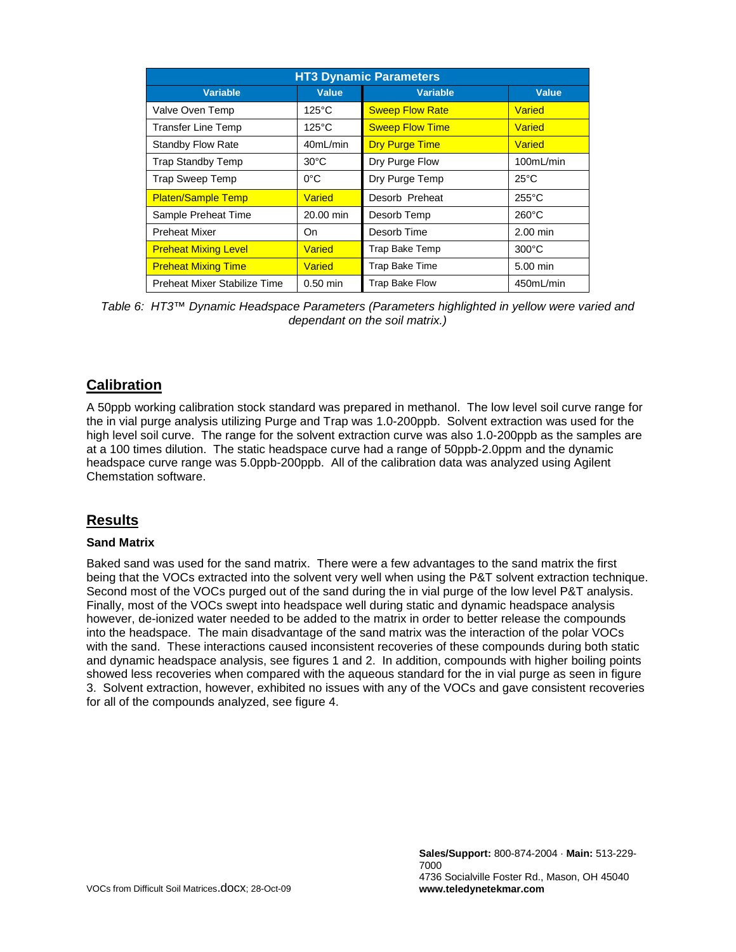| <b>HT3 Dynamic Parameters</b> |                 |                        |                 |  |
|-------------------------------|-----------------|------------------------|-----------------|--|
| <b>Variable</b>               | Value           | <b>Variable</b>        | <b>Value</b>    |  |
| Valve Oven Temp               | $125^{\circ}$ C | <b>Sweep Flow Rate</b> | Varied          |  |
| <b>Transfer Line Temp</b>     | $125^{\circ}$ C | <b>Sweep Flow Time</b> | <b>Varied</b>   |  |
| Standby Flow Rate             | 40mL/min        | <b>Dry Purge Time</b>  | <b>Varied</b>   |  |
| <b>Trap Standby Temp</b>      | $30^{\circ}$ C  | Dry Purge Flow         | 100mL/min       |  |
| Trap Sweep Temp               | $0^{\circ}$ C   | Dry Purge Temp         | $25^{\circ}$ C  |  |
| <b>Platen/Sample Temp</b>     | <b>Varied</b>   | Desorb Preheat         | $255^{\circ}$ C |  |
| Sample Preheat Time           | 20.00 min       | Desorb Temp            | $260^{\circ}$ C |  |
| <b>Preheat Mixer</b>          | On              | Desorb Time            | $2.00$ min      |  |
| <b>Preheat Mixing Level</b>   | Varied          | Trap Bake Temp         | $300^{\circ}$ C |  |
| <b>Preheat Mixing Time</b>    | <b>Varied</b>   | Trap Bake Time         | 5.00 min        |  |
| Preheat Mixer Stabilize Time  | $0.50$ min      | <b>Trap Bake Flow</b>  | 450mL/min       |  |

*Table 6: HT3™ Dynamic Headspace Parameters (Parameters highlighted in yellow were varied and dependant on the soil matrix.)*

## **Calibration**

A 50ppb working calibration stock standard was prepared in methanol. The low level soil curve range for the in vial purge analysis utilizing Purge and Trap was 1.0-200ppb. Solvent extraction was used for the high level soil curve. The range for the solvent extraction curve was also 1.0-200ppb as the samples are at a 100 times dilution. The static headspace curve had a range of 50ppb-2.0ppm and the dynamic headspace curve range was 5.0ppb-200ppb. All of the calibration data was analyzed using Agilent Chemstation software.

### **Results**

#### **Sand Matrix**

Baked sand was used for the sand matrix. There were a few advantages to the sand matrix the first being that the VOCs extracted into the solvent very well when using the P&T solvent extraction technique. Second most of the VOCs purged out of the sand during the in vial purge of the low level P&T analysis. Finally, most of the VOCs swept into headspace well during static and dynamic headspace analysis however, de-ionized water needed to be added to the matrix in order to better release the compounds into the headspace. The main disadvantage of the sand matrix was the interaction of the polar VOCs with the sand. These interactions caused inconsistent recoveries of these compounds during both static and dynamic headspace analysis, see figures 1 and 2. In addition, compounds with higher boiling points showed less recoveries when compared with the aqueous standard for the in vial purge as seen in figure 3. Solvent extraction, however, exhibited no issues with any of the VOCs and gave consistent recoveries for all of the compounds analyzed, see figure 4.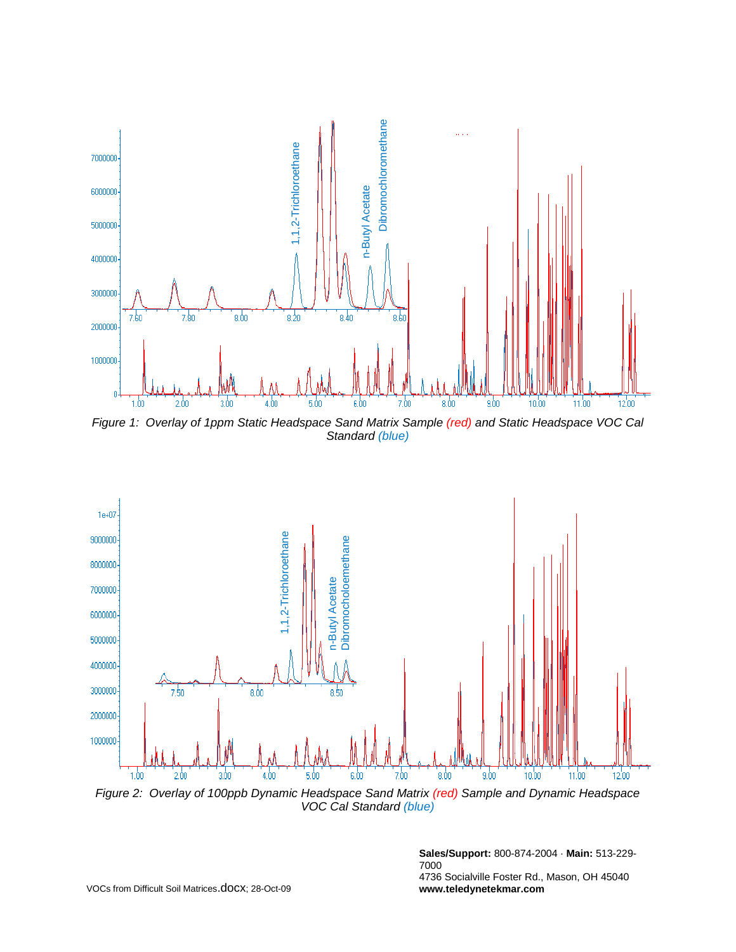

*Figure 1: Overlay of 1ppm Static Headspace Sand Matrix Sample (red) and Static Headspace VOC Cal Standard (blue)*



*VOC Cal Standard (blue)*

**Sales/Support:** 800-874-2004 · **Main:** 513-229- 7000 4736 Socialville Foster Rd., Mason, OH 45040 **www.teledynetekmar.com**

VOCs from Difficult Soil Matrices.docx; 28-Oct-09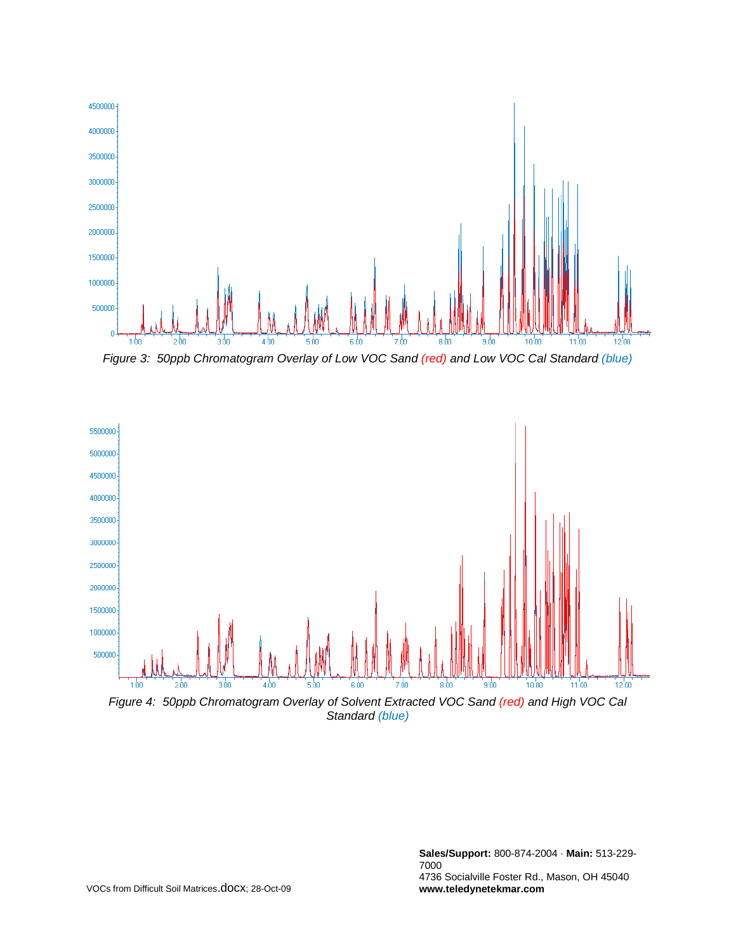

*Figure 3: 50ppb Chromatogram Overlay of Low VOC Sand (red) and Low VOC Cal Standard (blue)*



*Figure 4: 50ppb Chromatogram Overlay of Solvent Extracted VOC Sand (red) and High VOC Cal Standard (blue)*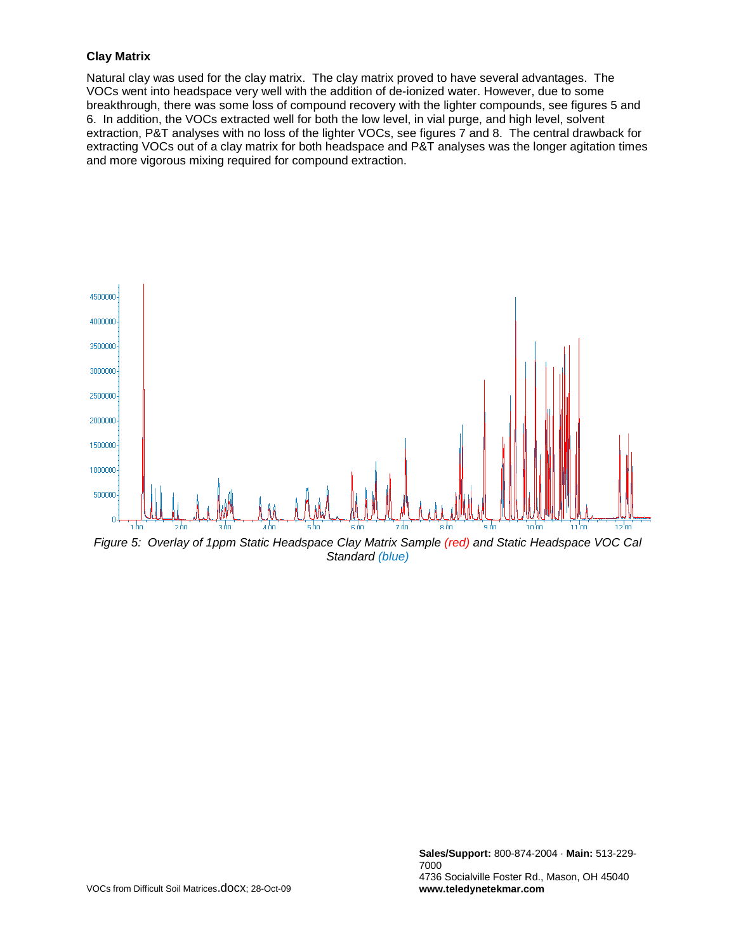#### **Clay Matrix**

Natural clay was used for the clay matrix. The clay matrix proved to have several advantages. The VOCs went into headspace very well with the addition of de-ionized water. However, due to some breakthrough, there was some loss of compound recovery with the lighter compounds, see figures 5 and 6. In addition, the VOCs extracted well for both the low level, in vial purge, and high level, solvent extraction, P&T analyses with no loss of the lighter VOCs, see figures 7 and 8. The central drawback for extracting VOCs out of a clay matrix for both headspace and P&T analyses was the longer agitation times and more vigorous mixing required for compound extraction.



*Figure 5: Overlay of 1ppm Static Headspace Clay Matrix Sample (red) and Static Headspace VOC Cal Standard (blue)*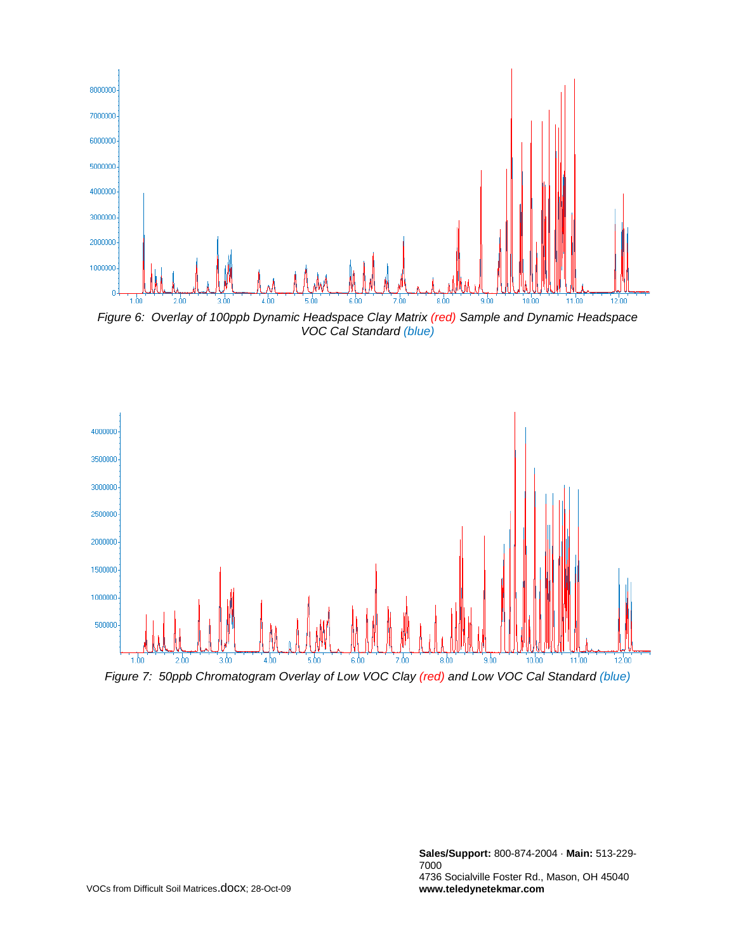

*VOC Cal Standard (blue)*



*Figure 7: 50ppb Chromatogram Overlay of Low VOC Clay (red) and Low VOC Cal Standard (blue)*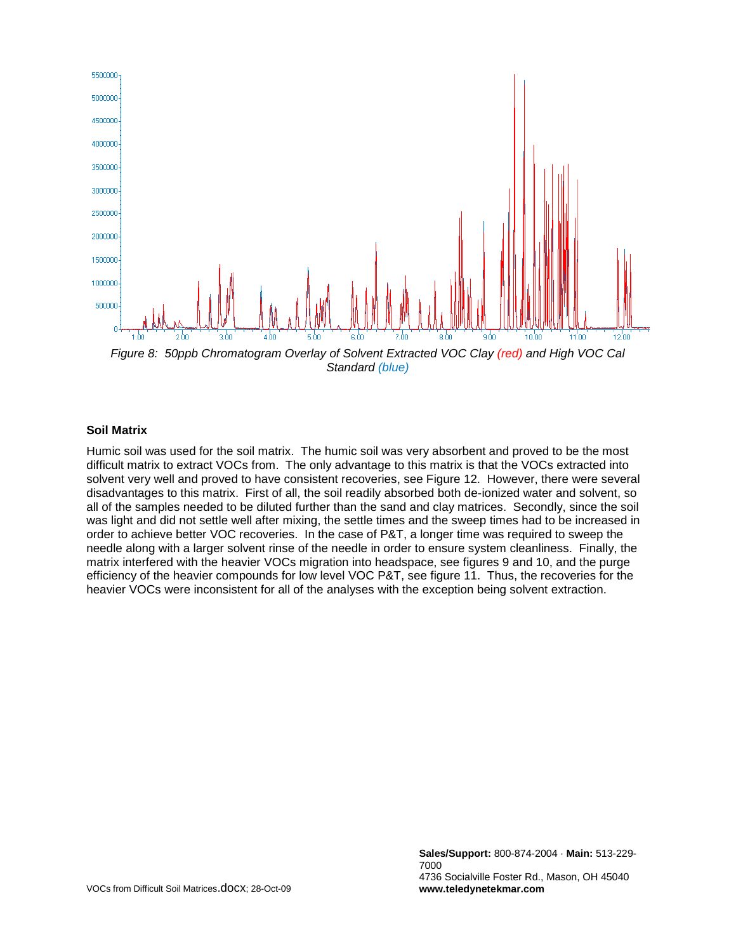

*Figure 8: 50ppb Chromatogram Overlay of Solvent Extracted VOC Clay (red) and High VOC Cal Standard (blue)*

#### **Soil Matrix**

Humic soil was used for the soil matrix. The humic soil was very absorbent and proved to be the most difficult matrix to extract VOCs from. The only advantage to this matrix is that the VOCs extracted into solvent very well and proved to have consistent recoveries, see Figure 12. However, there were several disadvantages to this matrix. First of all, the soil readily absorbed both de-ionized water and solvent, so all of the samples needed to be diluted further than the sand and clay matrices. Secondly, since the soil was light and did not settle well after mixing, the settle times and the sweep times had to be increased in order to achieve better VOC recoveries. In the case of P&T, a longer time was required to sweep the needle along with a larger solvent rinse of the needle in order to ensure system cleanliness. Finally, the matrix interfered with the heavier VOCs migration into headspace, see figures 9 and 10, and the purge efficiency of the heavier compounds for low level VOC P&T, see figure 11. Thus, the recoveries for the heavier VOCs were inconsistent for all of the analyses with the exception being solvent extraction.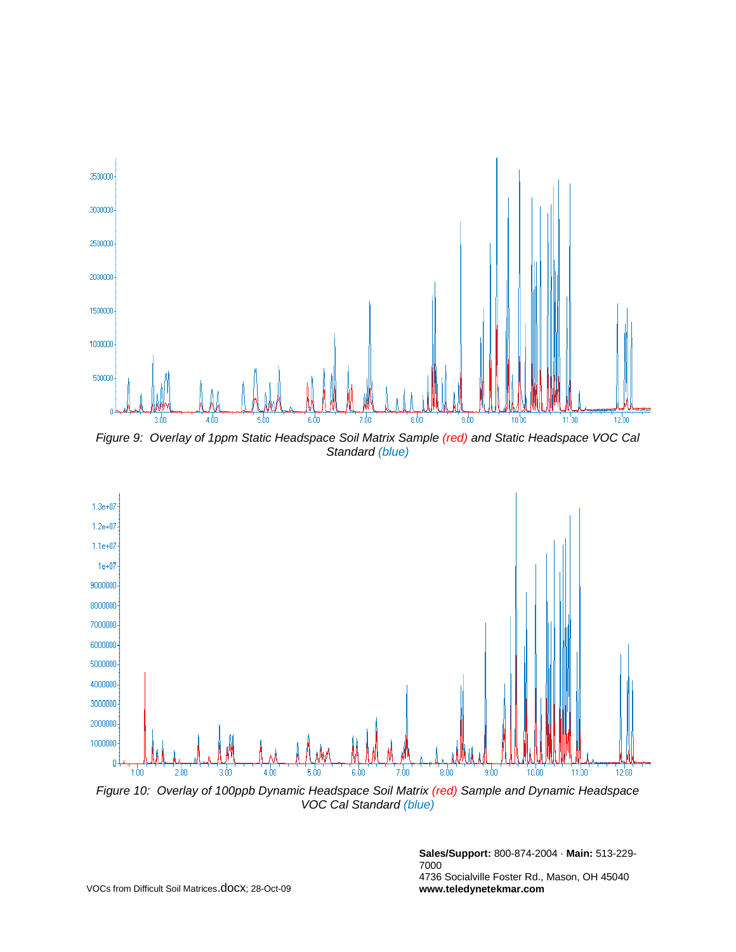

*Figure 9: Overlay of 1ppm Static Headspace Soil Matrix Sample (red) and Static Headspace VOC Cal Standard (blue)*



*Figure 10: Overlay of 100ppb Dynamic Headspace Soil Matrix (red) Sample and Dynamic Headspace VOC Cal Standard (blue)*

**Sales/Support:** 800-874-2004 · **Main:** 513-229- 7000 4736 Socialville Foster Rd., Mason, OH 45040 **www.teledynetekmar.com**

VOCs from Difficult Soil Matrices.docx; 28-Oct-09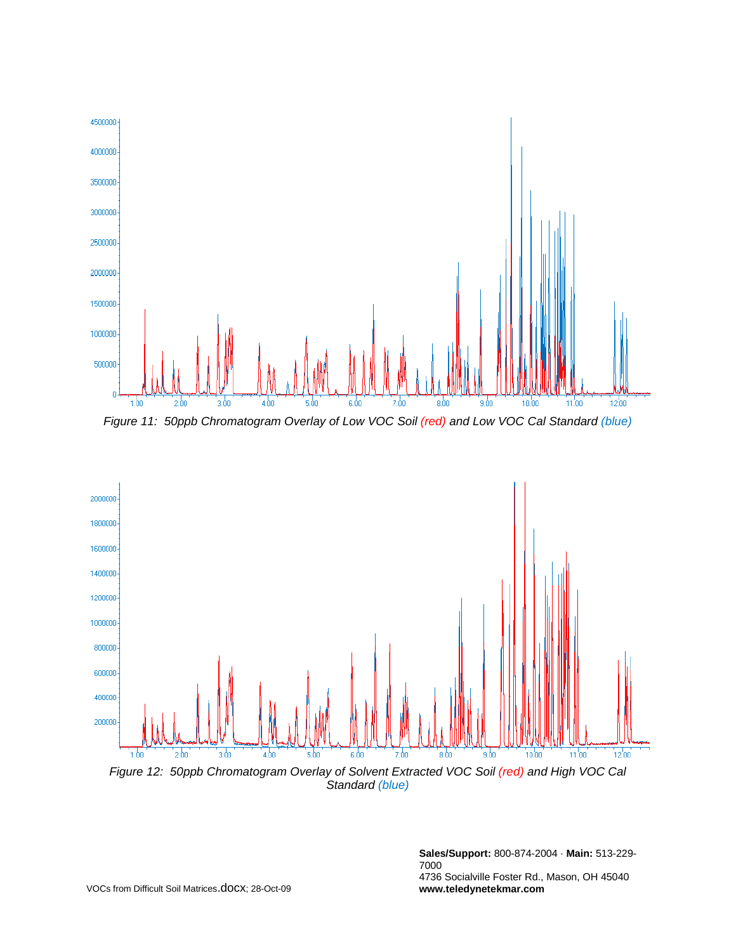

*Figure 11: 50ppb Chromatogram Overlay of Low VOC Soil (red) and Low VOC Cal Standard (blue)*



**Sales/Support:** 800-874-2004 · **Main:** 513-229- 7000 4736 Socialville Foster Rd., Mason, OH 45040 **www.teledynetekmar.com**

VOCs from Difficult Soil Matrices.docx; 28-Oct-09